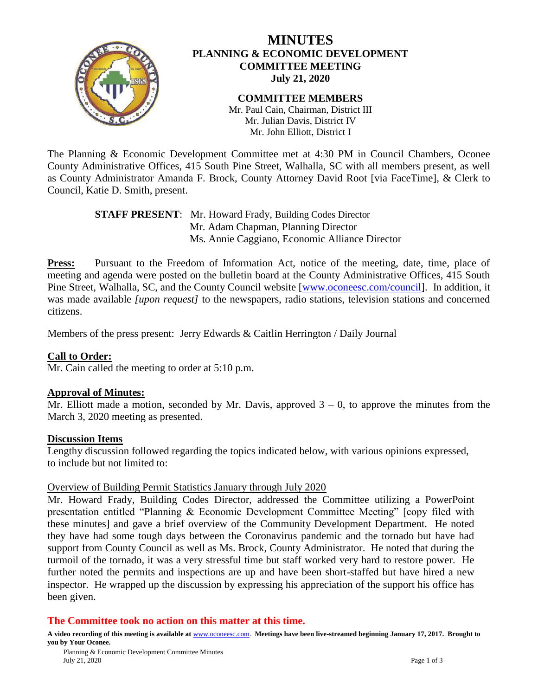

# **MINUTES PLANNING & ECONOMIC DEVELOPMENT COMMITTEE MEETING July 21, 2020**

#### **COMMITTEE MEMBERS** Mr. Paul Cain, Chairman, District III Mr. Julian Davis, District IV Mr. John Elliott, District I

The Planning & Economic Development Committee met at 4:30 PM in Council Chambers, Oconee County Administrative Offices, 415 South Pine Street, Walhalla, SC with all members present, as well as County Administrator Amanda F. Brock, County Attorney David Root [via FaceTime], & Clerk to Council, Katie D. Smith, present.

# **STAFF PRESENT**: Mr. Howard Frady, Building Codes Director Mr. Adam Chapman, Planning Director Ms. Annie Caggiano, Economic Alliance Director

**Press:** Pursuant to the Freedom of Information Act, notice of the meeting, date, time, place of meeting and agenda were posted on the bulletin board at the County Administrative Offices, 415 South Pine Street, Walhalla, SC, and the County Council website [\[www.oconeesc.com/council\]](http://www.oconeesc.com/council). In addition, it was made available *[upon request]* to the newspapers, radio stations, television stations and concerned citizens.

Members of the press present: Jerry Edwards & Caitlin Herrington / Daily Journal

### **Call to Order:**

Mr. Cain called the meeting to order at 5:10 p.m.

### **Approval of Minutes:**

Mr. Elliott made a motion, seconded by Mr. Davis, approved  $3 - 0$ , to approve the minutes from the March 3, 2020 meeting as presented.

### **Discussion Items**

Lengthy discussion followed regarding the topics indicated below, with various opinions expressed, to include but not limited to:

### Overview of Building Permit Statistics January through July 2020

Mr. Howard Frady, Building Codes Director, addressed the Committee utilizing a PowerPoint presentation entitled "Planning & Economic Development Committee Meeting" [copy filed with these minutes] and gave a brief overview of the Community Development Department. He noted they have had some tough days between the Coronavirus pandemic and the tornado but have had support from County Council as well as Ms. Brock, County Administrator. He noted that during the turmoil of the tornado, it was a very stressful time but staff worked very hard to restore power. He further noted the permits and inspections are up and have been short-staffed but have hired a new inspector. He wrapped up the discussion by expressing his appreciation of the support his office has been given.

### **The Committee took no action on this matter at this time.**

**A video recording of this meeting is available at** [www.oconeesc.com.](http://www.oconeesc.com/) **Meetings have been live-streamed beginning January 17, 2017. Brought to you by Your Oconee.**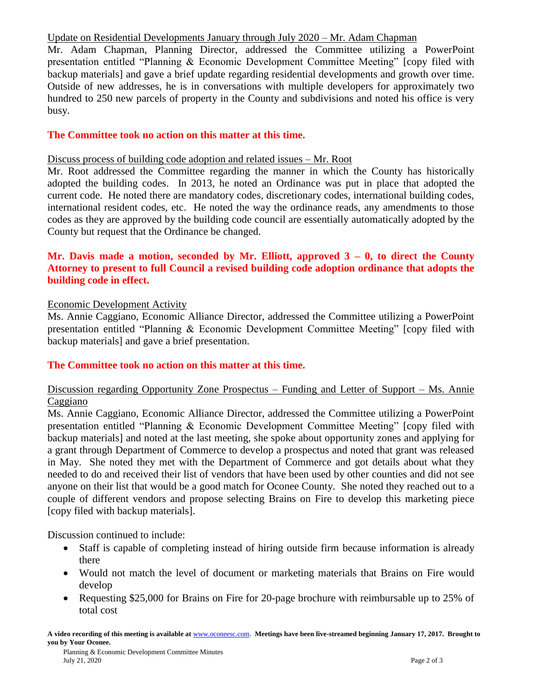### Update on Residential Developments January through July 2020 – Mr. Adam Chapman

Mr. Adam Chapman, Planning Director, addressed the Committee utilizing a PowerPoint presentation entitled "Planning & Economic Development Committee Meeting" [copy filed with backup materials] and gave a brief update regarding residential developments and growth over time. Outside of new addresses, he is in conversations with multiple developers for approximately two hundred to 250 new parcels of property in the County and subdivisions and noted his office is very busy.

# **The Committee took no action on this matter at this time.**

### Discuss process of building code adoption and related issues – Mr. Root

Mr. Root addressed the Committee regarding the manner in which the County has historically adopted the building codes. In 2013, he noted an Ordinance was put in place that adopted the current code. He noted there are mandatory codes, discretionary codes, international building codes, international resident codes, etc. He noted the way the ordinance reads, any amendments to those codes as they are approved by the building code council are essentially automatically adopted by the County but request that the Ordinance be changed.

# **Mr. Davis made a motion, seconded by Mr. Elliott, approved 3 – 0, to direct the County Attorney to present to full Council a revised building code adoption ordinance that adopts the building code in effect.**

# Economic Development Activity

Ms. Annie Caggiano, Economic Alliance Director, addressed the Committee utilizing a PowerPoint presentation entitled "Planning & Economic Development Committee Meeting" [copy filed with backup materials] and gave a brief presentation.

# **The Committee took no action on this matter at this time.**

# Discussion regarding Opportunity Zone Prospectus – Funding and Letter of Support – Ms. Annie Caggiano

Ms. Annie Caggiano, Economic Alliance Director, addressed the Committee utilizing a PowerPoint presentation entitled "Planning & Economic Development Committee Meeting" [copy filed with backup materials] and noted at the last meeting, she spoke about opportunity zones and applying for a grant through Department of Commerce to develop a prospectus and noted that grant was released in May. She noted they met with the Department of Commerce and got details about what they needed to do and received their list of vendors that have been used by other counties and did not see anyone on their list that would be a good match for Oconee County. She noted they reached out to a couple of different vendors and propose selecting Brains on Fire to develop this marketing piece [copy filed with backup materials].

Discussion continued to include:

- Staff is capable of completing instead of hiring outside firm because information is already there
- Would not match the level of document or marketing materials that Brains on Fire would develop
- Requesting \$25,000 for Brains on Fire for 20-page brochure with reimbursable up to 25% of total cost

**A video recording of this meeting is available at** [www.oconeesc.com.](http://www.oconeesc.com/) **Meetings have been live-streamed beginning January 17, 2017. Brought to you by Your Oconee.**